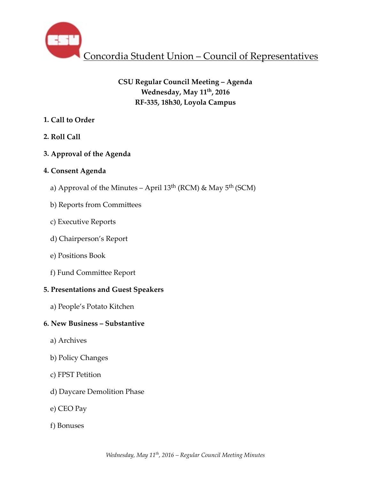

# **CSU Regular Council Meeting – Agenda Wednesday, May 11th, 2016 RF-335, 18h30, Loyola Campus**

# **1. Call to Order**

**2. Roll Call** 

# **3. Approval of the Agenda**

# **4. Consent Agenda**

- a) Approval of the Minutes April 13th (RCM) & May 5th (SCM)
- b) Reports from Committees
- c) Executive Reports
- d) Chairperson's Report
- e) Positions Book
- f) Fund Committee Report

# **5. Presentations and Guest Speakers**

 a) People's Potato Kitchen

# **6. New Business – Substantive**

- a) Archives
- b) Policy Changes
- c) FPST Petition
- d) Daycare Demolition Phase
- e) CEO Pay
- f) Bonuses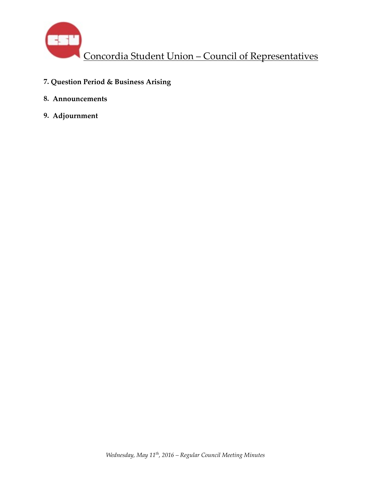

- **7. Question Period & Business Arising**
- **8. Announcements**
- **9. Adjournment**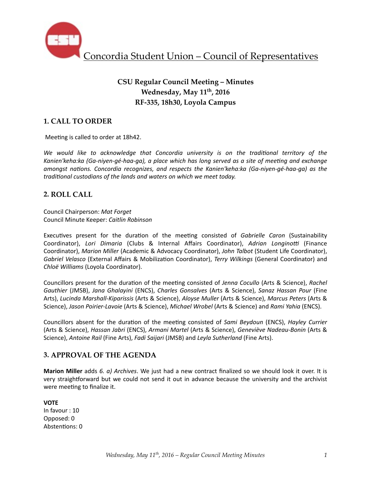

# **CSU Regular Council Meeting – Minutes Wednesday, May 11th, 2016 RF-335, 18h30, Loyola Campus**

# **1. CALL TO ORDER**

Meeting is called to order at 18h42.

We would like to acknowledge that Concordia university is on the traditional territory of the Kanien'keha:ka (Ga-niyen-gé-haa-ga), a place which has long served as a site of meeting and exchange *amongst nations. Concordia recognizes, and respects the Kanien'keha:ka (Ga-niyen-gé-haa-ga)* as the *traditional custodians of the lands and waters on which we meet today.* 

## **2. ROLL CALL**

Council Chairperson: *Mat Forget* Council Minute Keeper: *Caitlin Robinson*

Executives present for the duration of the meeting consisted of *Gabrielle Caron* (Sustainability Coordinator), Lori Dimaria (Clubs & Internal Affairs Coordinator), Adrian Longinotti (Finance Coordinator), *Marion Miller* (Academic & Advocacy Coordinator), *John Talbot* (Student Life Coordinator), *Gabriel Velasco* (External Affairs & Mobilization Coordinator), *Terry Wilkings* (General Coordinator) and *Chloë Williams* (Loyola Coordinator). 

Councillors present for the duration of the meeting consisted of *Jenna Cocullo* (Arts & Science), *Rachel Gauthier* (JMSB), *Jana Ghalayini* (ENCS), *Charles Gonsalves* (Arts & Science), *Sanaz Hassan Pour* (Fine Arts), Lucinda Marshall-Kiparissis (Arts & Science), *Aloyse Muller* (Arts & Science), Marcus Peters (Arts & Science), Jason Poirier-Lavoie (Arts & Science), Michael Wrobel (Arts & Science) and Rami Yahia (ENCS).

Councillors absent for the duration of the meeting consisted of *Sami Beydoun* (ENCS), *Hayley Currier* (Arts & Science), *Hassan Jabri* (ENCS), *Armani Martel* (Arts & Science), *Geneviève Nadeau-Bonin* (Arts & Science), *Antoine Rail* (Fine Arts), *Fadi Saijari* (JMSB) and *Leyla Sutherland* (Fine Arts).

## **3. APPROVAL OF THE AGENDA**

**Marion Miller** adds 6. a) Archives. We just had a new contract finalized so we should look it over. It is very straightforward but we could not send it out in advance because the university and the archivist were meeting to finalize it.

**VOTE**  In favour : 10 Opposed: 0 Abstentions: 0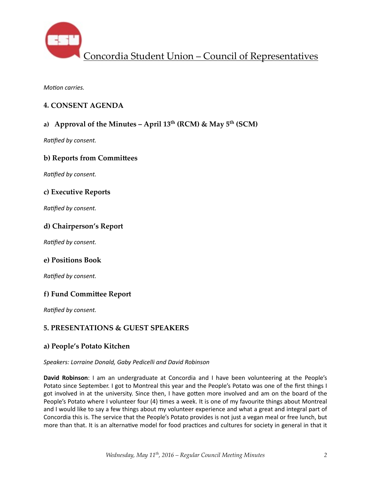

*Motion carries.* 

## **4. CONSENT AGENDA**

# **a) Approval of the Minutes – April 13th (RCM) & May 5th (SCM)**

**Ratified by consent.** 

## **b) Reports from Committees**

**Ratified by consent.** 

## **c) Executive Reports**

**Ratified by consent.** 

## **d) Chairperson's Report**

**Ratified by consent.** 

## **e) Positions Book**

**Ratified by consent.** 

## **f) Fund Committee Report**

**Ratified by consent.** 

## **5. PRESENTATIONS & GUEST SPEAKERS**

### **a) People's Potato Kitchen**

#### Speakers: Lorraine Donald, Gaby Pedicelli and David Robinson

**David Robinson**: I am an undergraduate at Concordia and I have been volunteering at the People's Potato since September. I got to Montreal this year and the People's Potato was one of the first things I got involved in at the university. Since then, I have gotten more involved and am on the board of the People's Potato where I volunteer four (4) times a week. It is one of my favourite things about Montreal and I would like to say a few things about my volunteer experience and what a great and integral part of Concordia this is. The service that the People's Potato provides is not just a vegan meal or free lunch, but more than that. It is an alternative model for food practices and cultures for society in general in that it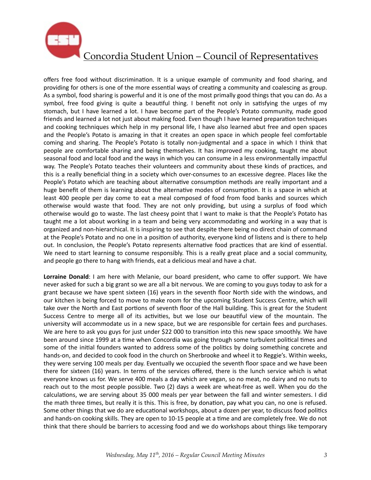

offers free food without discrimination. It is a unique example of community and food sharing, and providing for others is one of the more essential ways of creating a community and coalescing as group. As a symbol, food sharing is powerful and it is one of the most primally good things that you can do. As a symbol, free food giving is quite a beautiful thing. I benefit not only in satisfying the urges of my stomach, but I have learned a lot. I have become part of the People's Potato community, made good friends and learned a lot not just about making food. Even though I have learned preparation techniques and cooking techniques which help in my personal life, I have also learned abut free and open spaces and the People's Potato is amazing in that it creates an open space in which people feel comfortable coming and sharing. The People's Potato is totally non-judgmental and a space in which I think that people are comfortable sharing and being themselves. It has improved my cooking, taught me about seasonal food and local food and the ways in which you can consume in a less environmentally impactful way. The People's Potato teaches their volunteers and community about these kinds of practices, and this is a really beneficial thing in a society which over-consumes to an excessive degree. Places like the People's Potato which are teaching about alternative consumption methods are really important and a huge benefit of them is learning about the alternative modes of consumption. It is a space in which at least 400 people per day come to eat a meal composed of food from food banks and sources which otherwise would waste that food. They are not only providing, but using a surplus of food which otherwise would go to waste. The last cheesy point that I want to make is that the People's Potato has taught me a lot about working in a team and being very accommodating and working in a way that is organized and non-hierarchical. It is inspiring to see that despite there being no direct chain of command at the People's Potato and no one in a position of authority, everyone kind of listens and is there to help out. In conclusion, the People's Potato represents alternative food practices that are kind of essential. We need to start learning to consume responsibly. This is a really great place and a social community, and people go there to hang with friends, eat a delicious meal and have a chat.

Lorraine Donald: I am here with Melanie, our board president, who came to offer support. We have never asked for such a big grant so we are all a bit nervous. We are coming to you guys today to ask for a grant because we have spent sixteen (16) years in the seventh floor North side with the windows, and our kitchen is being forced to move to make room for the upcoming Student Success Centre, which will take over the North and East portions of seventh floor of the Hall building. This is great for the Student Success Centre to merge all of its activities, but we lose our beautiful view of the mountain. The university will accommodate us in a new space, but we are responsible for certain fees and purchases. We are here to ask you guys for just under \$22 000 to transition into this new space smoothly. We have been around since 1999 at a time when Concordia was going through some turbulent political times and some of the initial founders wanted to address some of the politics by doing something concrete and hands-on, and decided to cook food in the church on Sherbrooke and wheel it to Reggie's. Within weeks, they were serving 100 meals per day. Eventually we occupied the seventh floor space and we have been there for sixteen (16) years. In terms of the services offered, there is the lunch service which is what everyone knows us for. We serve 400 meals a day which are vegan, so no meat, no dairy and no nuts to reach out to the most people possible. Two (2) days a week are wheat-free as well. When you do the calculations, we are serving about 35 000 meals per year between the fall and winter semesters. I did the math three times, but really it is this. This is free, by donation, pay what you can, no one is refused. Some other things that we do are educational workshops, about a dozen per year, to discuss food politics and hands-on cooking skills. They are open to 10-15 people at a time and are completely free. We do not think that there should be barriers to accessing food and we do workshops about things like temporary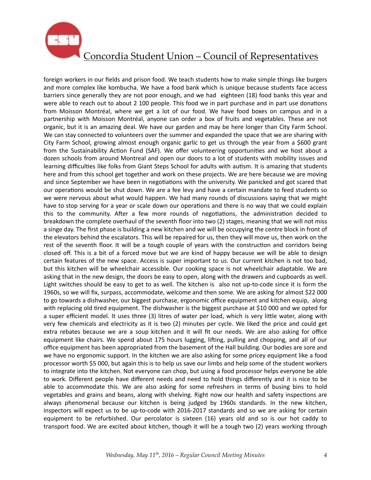

foreign workers in our fields and prison food. We teach students how to make simple things like burgers and more complex like kombucha. We have a food bank which is unique because students face access barriers since generally they are not poor enough, and we had eighteen (18) food banks this year and were able to reach out to about 2 100 people. This food we in part purchase and in part use donations from Moisson Montréal, where we get a lot of our food. We have food boxes on campus and in a partnership with Moisson Montréal, anyone can order a box of fruits and vegetables. These are not organic, but it is an amazing deal. We have our garden and may be here longer than City Farm School. We can stay connected to volunteers over the summer and expanded the space that we are sharing with City Farm School, growing almost enough organic garlic to get us through the year from a \$600 grant from the Sustainability Action Fund (SAF). We offer volunteering opportunities and we host about a dozen schools from around Montreal and open our doors to a lot of students with mobility issues and learning difficulties like folks from Giant Steps School for adults with autism. It is amazing that students here and from this school get together and work on these projects. We are here because we are moving and since September we have been in negotiations with the university. We panicked and got scared that our operations would be shut down. We are a fee levy and have a certain mandate to feed students so we were nervous about what would happen. We had many rounds of discussions saying that we might have to stop serving for a year or scale down our operations and there is no way that we could explain this to the community. After a few more rounds of negotiations, the administration decided to breakdown the complete overhaul of the seventh floor into two (2) stages, meaning that we will not miss a singe day. The first phase is building a new kitchen and we will be occupying the centre block in front of the elevators behind the escalators. This will be repaired for us, then they will move us, then work on the rest of the seventh floor. It will be a tough couple of years with the construction and corridors being closed off. This is a bit of a forced move but we are kind of happy because we will be able to design certain features of the new space. Access is super important to us. Our current kitchen is not too bad, but this kitchen will be wheelchair accessible. Our cooking space is not wheelchair adaptable. We are asking that in the new design, the doors be easy to open, along with the drawers and cupboards as well. Light switches should be easy to get to as well. The kitchen is also not up-to-code since it is form the 1960s, so we will fix, surpass, accommodate, welcome and then some. We are asking for almost \$22 000 to go towards a dishwasher, our biggest purchase, ergonomic office equipment and kitchen equip, along with replacing old tired equipment. The dishwasher is the biggest purchase at \$10 000 and we opted for a super efficient model. It uses three (3) litres of water per load, which is very little water, along with very few chemicals and electricity as it is two (2) minutes per cycle. We liked the price and could get extra rebates because we are a soup kitchen and it will fit our needs. We are also asking for office equipment like chairs. We spend about 175 hours lugging, lifting, pulling and chopping, and all of our office equipment has been appropriated from the basement of the Hall building. Our bodies are sore and we have no ergonomic support. In the kitchen we are also asking for some pricey equipment like a food processor worth \$5 000, but again this is to help us save our limbs and help some of the student workers to integrate into the kitchen. Not everyone can chop, but using a food processor helps everyone be able to work. Different people have different needs and need to hold things differently and it is nice to be able to accommodate this. We are also asking for some refreshers in terms of busing bins to hold vegetables and grains and beans, along with shelving. Right now our health and safety inspections are always phenomenal because our kitchen is being judged by 1960s standards. In the new kitchen, inspectors will expect us to be up-to-code with 2016-2017 standards and so we are asking for certain equipment to be refurbished. Our percolator is sixteen (16) years old and so is our hot caddy to transport food. We are excited about kitchen, though it will be a tough two (2) years working through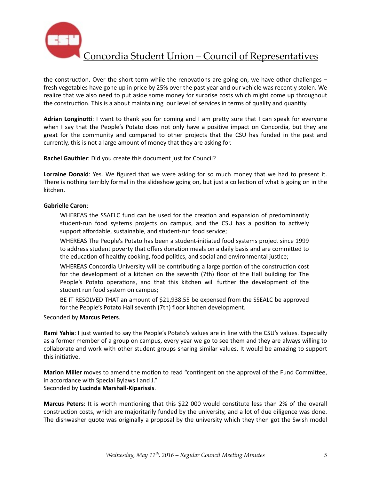

the construction. Over the short term while the renovations are going on, we have other challenges  $$ fresh vegetables have gone up in price by 25% over the past year and our vehicle was recently stolen. We realize that we also need to put aside some money for surprise costs which might come up throughout the construction. This is a about maintaining our level of services in terms of quality and quantity.

Adrian Longinotti: I want to thank you for coming and I am pretty sure that I can speak for everyone when I say that the People's Potato does not only have a positive impact on Concordia, but they are great for the community and compared to other projects that the CSU has funded in the past and currently, this is not a large amount of money that they are asking for.

**Rachel Gauthier:** Did you create this document just for Council?

**Lorraine Donald**: Yes. We figured that we were asking for so much money that we had to present it. There is nothing terribly formal in the slideshow going on, but just a collection of what is going on in the kitchen. 

#### **Gabrielle Caron**:

WHEREAS the SSAELC fund can be used for the creation and expansion of predominantly student-run food systems projects on campus, and the CSU has a position to actively support affordable, sustainable, and student-run food service;

WHEREAS The People's Potato has been a student-initiated food systems project since 1999 to address student poverty that offers donation meals on a daily basis and are committed to the education of healthy cooking, food politics, and social and environmental justice;

WHEREAS Concordia University will be contributing a large portion of the construction cost for the development of a kitchen on the seventh (7th) floor of the Hall building for The People's Potato operations, and that this kitchen will further the development of the student run food system on campus;

BE IT RESOLVED THAT an amount of \$21,938.55 be expensed from the SSEALC be approved for the People's Potato Hall seventh (7th) floor kitchen development.

Seconded by **Marcus Peters**. 

**Rami Yahia**: I just wanted to say the People's Potato's values are in line with the CSU's values. Especially as a former member of a group on campus, every year we go to see them and they are always willing to collaborate and work with other student groups sharing similar values. It would be amazing to support this initiative.

**Marion Miller** moves to amend the motion to read "contingent on the approval of the Fund Committee, in accordance with Special Bylaws I and J."

Seconded by **Lucinda Marshall-Kiparissis**. 

**Marcus Peters**: It is worth mentioning that this \$22 000 would constitute less than 2% of the overall construction costs, which are majoritarily funded by the university, and a lot of due diligence was done. The dishwasher quote was originally a proposal by the university which they then got the Swish model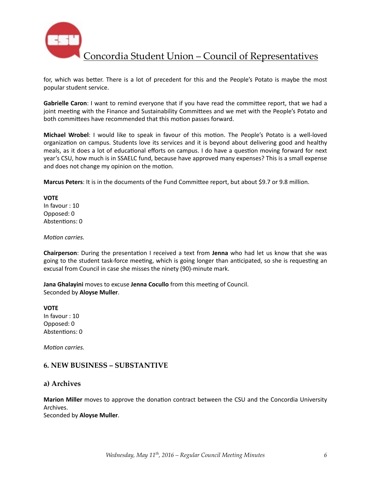

for, which was better. There is a lot of precedent for this and the People's Potato is maybe the most popular student service.

Gabrielle Caron: I want to remind everyone that if you have read the committee report, that we had a joint meeting with the Finance and Sustainability Committees and we met with the People's Potato and both committees have recommended that this motion passes forward.

**Michael Wrobel**: I would like to speak in favour of this motion. The People's Potato is a well-loved organization on campus. Students love its services and it is beyond about delivering good and healthy meals, as it does a lot of educational efforts on campus. I do have a question moving forward for next year's CSU, how much is in SSAELC fund, because have approved many expenses? This is a small expense and does not change my opinion on the motion.

**Marcus Peters**: It is in the documents of the Fund Committee report, but about \$9.7 or 9.8 million.

**VOTE** In favour : 10 Opposed: 0 Abstentions: 0

*Motion carries.* 

**Chairperson**: During the presentation I received a text from Jenna who had let us know that she was going to the student task-force meeting, which is going longer than anticipated, so she is requesting an excusal from Council in case she misses the ninety (90)-minute mark.

**Jana Ghalayini** moves to excuse Jenna Cocullo from this meeting of Council. Seconded by **Aloyse Muller**.

**VOTE**  In favour : 10 Opposed: 0 Abstentions: 0

*Motion carries.* 

## **6. NEW BUSINESS – SUBSTANTIVE**

#### **a) Archives**

**Marion Miller** moves to approve the donation contract between the CSU and the Concordia University Archives. 

Seconded by **Aloyse Muller**.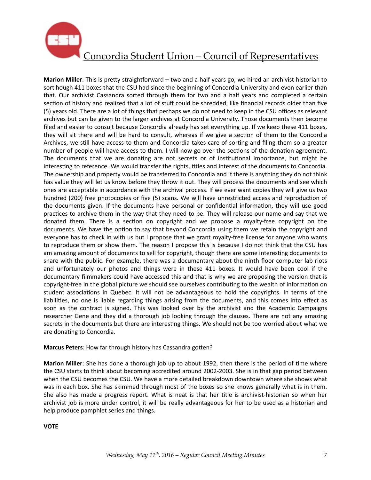

**Marion Miller**: This is pretty straightforward – two and a half years go, we hired an archivist-historian to sort hough 411 boxes that the CSU had since the beginning of Concordia University and even earlier than that. Our archivist Cassandra sorted through them for two and a half years and completed a certain section of history and realized that a lot of stuff could be shredded, like financial records older than five (5) years old. There are a lot of things that perhaps we do not need to keep in the CSU offices as relevant archives but can be given to the larger archives at Concordia University. Those documents then become filed and easier to consult because Concordia already has set everything up. If we keep these 411 boxes, they will sit there and will be hard to consult, whereas if we give a section of them to the Concordia Archives, we still have access to them and Concordia takes care of sorting and filing them so a greater number of people will have access to them. I will now go over the sections of the donation agreement. The documents that we are donating are not secrets or of institutional importance, but might be interesting to reference. We would transfer the rights, titles and interest of the documents to Concordia. The ownership and property would be transferred to Concordia and if there is anything they do not think has value they will let us know before they throw it out. They will process the documents and see which ones are acceptable in accordance with the archival process. If we ever want copies they will give us two hundred (200) free photocopies or five (5) scans. We will have unrestricted access and reproduction of the documents given. If the documents have personal or confidential information, they will use good practices to archive them in the way that they need to be. They will release our name and say that we donated them. There is a section on copyright and we propose a royalty-free copyright on the documents. We have the option to say that beyond Concordia using them we retain the copyright and everyone has to check in with us but I propose that we grant royalty-free license for anyone who wants to reproduce them or show them. The reason I propose this is because I do not think that the CSU has am amazing amount of documents to sell for copyright, though there are some interesting documents to share with the public. For example, there was a documentary about the ninth floor computer lab riots and unfortunately our photos and things were in these 411 boxes. It would have been cool if the documentary filmmakers could have accessed this and that is why we are proposing the version that is copyright-free In the global picture we should see ourselves contributing to the wealth of information on student associations in Quebec. It will not be advantageous to hold the copyrights. In terms of the liabilities, no one is liable regarding things arising from the documents, and this comes into effect as soon as the contract is signed. This was looked over by the archivist and the Academic Campaigns researcher Gene and they did a thorough job looking through the clauses. There are not any amazing secrets in the documents but there are interesting things. We should not be too worried about what we are donating to Concordia.

### **Marcus Peters:** How far through history has Cassandra gotten?

**Marion Miller**: She has done a thorough job up to about 1992, then there is the period of time where the CSU starts to think about becoming accredited around 2002-2003. She is in that gap period between when the CSU becomes the CSU. We have a more detailed breakdown downtown where she shows what was in each box. She has skimmed through most of the boxes so she knows generally what is in them. She also has made a progress report. What is neat is that her title is archivist-historian so when her archivist job is more under control, it will be really advantageous for her to be used as a historian and help produce pamphlet series and things.

#### **VOTE**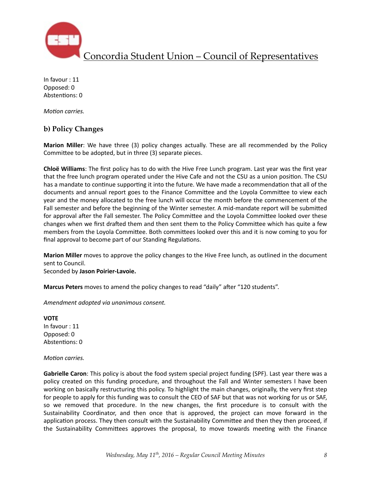

In favour : 11 Opposed: 0 Abstentions: 0

*Motion carries.* 

## **b) Policy Changes**

**Marion Miller**: We have three (3) policy changes actually. These are all recommended by the Policy Committee to be adopted, but in three (3) separate pieces.

**Chloë Williams**: The first policy has to do with the Hive Free Lunch program. Last year was the first year that the free lunch program operated under the Hive Cafe and not the CSU as a union position. The CSU has a mandate to continue supporting it into the future. We have made a recommendation that all of the documents and annual report goes to the Finance Committee and the Loyola Committee to view each year and the money allocated to the free lunch will occur the month before the commencement of the Fall semester and before the beginning of the Winter semester. A mid-mandate report will be submitted for approval after the Fall semester. The Policy Committee and the Loyola Committee looked over these changes when we first drafted them and then sent them to the Policy Committee which has quite a few members from the Loyola Committee. Both committees looked over this and it is now coming to you for final approval to become part of our Standing Regulations.

**Marion Miller** moves to approve the policy changes to the Hive Free lunch, as outlined in the document sent to Council.

Seconded by **Jason Poirier-Lavoie.**

Marcus Peters moves to amend the policy changes to read "daily" after "120 students".

*Amendment adopted via unanimous consent.* 

**VOTE** In favour : 11 Opposed: 0 Abstentions: 0

*Motion carries.* 

**Gabrielle Caron**: This policy is about the food system special project funding (SPF). Last year there was a policy created on this funding procedure, and throughout the Fall and Winter semesters I have been working on basically restructuring this policy. To highlight the main changes, originally, the very first step for people to apply for this funding was to consult the CEO of SAF but that was not working for us or SAF, so we removed that procedure. In the new changes, the first procedure is to consult with the Sustainability Coordinator, and then once that is approved, the project can move forward in the application process. They then consult with the Sustainability Committee and then they then proceed, if the Sustainability Committees approves the proposal, to move towards meeting with the Finance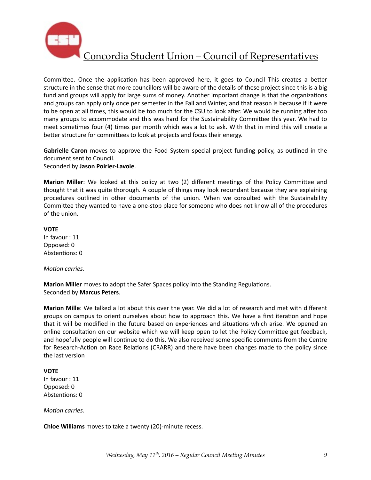

Committee. Once the application has been approved here, it goes to Council This creates a better structure in the sense that more councillors will be aware of the details of these project since this is a big fund and groups will apply for large sums of money. Another important change is that the organizations and groups can apply only once per semester in the Fall and Winter, and that reason is because if it were to be open at all times, this would be too much for the CSU to look after. We would be running after too many groups to accommodate and this was hard for the Sustainability Committee this year. We had to meet sometimes four (4) times per month which was a lot to ask. With that in mind this will create a better structure for committees to look at projects and focus their energy.

**Gabrielle Caron** moves to approve the Food System special project funding policy, as outlined in the document sent to Council. Seconded by **Jason Poirier-Lavoie**. 

**Marion Miller**: We looked at this policy at two (2) different meetings of the Policy Committee and thought that it was quite thorough. A couple of things may look redundant because they are explaining procedures outlined in other documents of the union. When we consulted with the Sustainability Committee they wanted to have a one-stop place for someone who does not know all of the procedures of the union.

#### **VOTE**

In favour : 11 Opposed: 0 Abstentions: 0

#### *Motion carries.*

**Marion Miller** moves to adopt the Safer Spaces policy into the Standing Regulations. Seconded by **Marcus Peters**. 

**Marion Mille**: We talked a lot about this over the year. We did a lot of research and met with different groups on campus to orient ourselves about how to approach this. We have a first iteration and hope that it will be modified in the future based on experiences and situations which arise. We opened an online consultation on our website which we will keep open to let the Policy Committee get feedback, and hopefully people will continue to do this. We also received some specific comments from the Centre for Research-Action on Race Relations (CRARR) and there have been changes made to the policy since the last version

### **VOTE**

In favour : 11 Opposed: 0 Abstentions: 0

*Motion carries.* 

**Chloe Williams** moves to take a twenty (20)-minute recess.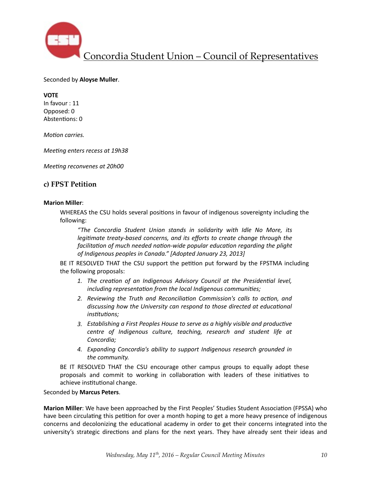

Seconded by **Aloyse Muller**. 

**VOTE**  In favour : 11 Opposed: 0 Abstentions: 0

*Motion carries.* 

*Meeting enters recess at 19h38* 

*Meeting reconvenes at 20h00* 

### **c) FPST Petition**

#### **Marion Miller**:

WHEREAS the CSU holds several positions in favour of indigenous sovereignty including the following: 

*"The Concordia Student Union stands in solidarity with Idle No More, its legitimate treaty-based concerns, and its efforts to create change through the facilitation of much needed nation-wide popular education regarding the plight* of Indigenous peoples in Canada." [Adopted January 23, 2013]

BE IT RESOLVED THAT the CSU support the petition put forward by the FPSTMA including the following proposals:

- 1. The creation of an Indigenous Advisory Council at the Presidential level, including representation from the local Indigenous communities;
- 2. Reviewing the Truth and Reconciliation Commission's calls to action, and discussing how the University can respond to those directed at educational *institutions:*
- 3. Establishing a First Peoples House to serve as a highly visible and productive *centre* of Indigenous culture, teaching, research and student life at *Concordia;*
- 4. *Expanding Concordia's ability to support Indigenous research grounded in* the community.

BE IT RESOLVED THAT the CSU encourage other campus groups to equally adopt these proposals and commit to working in collaboration with leaders of these initiatives to achieve institutional change.

Seconded by **Marcus Peters**. 

**Marion Miller**: We have been approached by the First Peoples' Studies Student Association (FPSSA) who have been circulating this petition for over a month hoping to get a more heavy presence of indigenous concerns and decolonizing the educational academy in order to get their concerns integrated into the university's strategic directions and plans for the next years. They have already sent their ideas and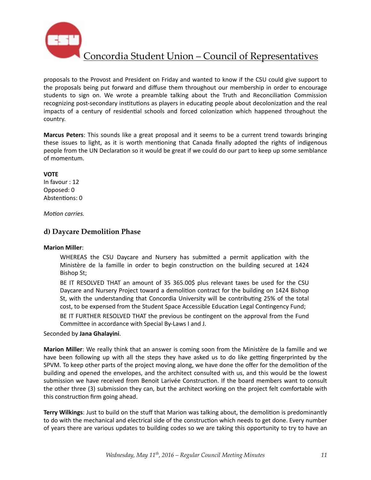

proposals to the Provost and President on Friday and wanted to know if the CSU could give support to the proposals being put forward and diffuse them throughout our membership in order to encourage students to sign on. We wrote a preamble talking about the Truth and Reconciliation Commission recognizing post-secondary institutions as players in educating people about decolonization and the real impacts of a century of residential schools and forced colonization which happened throughout the country. 

**Marcus Peters**: This sounds like a great proposal and it seems to be a current trend towards bringing these issues to light, as it is worth mentioning that Canada finally adopted the rights of indigenous people from the UN Declaration so it would be great if we could do our part to keep up some semblance of momentum.

### **VOTE**

In favour : 12 Opposed: 0 Abstentions: 0

*Motion carries.* 

## **d) Daycare Demolition Phase**

#### **Marion Miller**:

WHEREAS the CSU Daycare and Nursery has submitted a permit application with the Ministère de la famille in order to begin construction on the building secured at 1424 Bishop St;

BE IT RESOLVED THAT an amount of 35 365.00\$ plus relevant taxes be used for the CSU Daycare and Nursery Project toward a demolition contract for the building on 1424 Bishop St, with the understanding that Concordia University will be contributing 25% of the total cost, to be expensed from the Student Space Accessible Education Legal Contingency Fund;

BE IT FURTHER RESOLVED THAT the previous be contingent on the approval from the Fund Committee in accordance with Special By-Laws I and J.

#### Seconded by **Jana Ghalayini**.

**Marion Miller**: We really think that an answer is coming soon from the Ministère de la famille and we have been following up with all the steps they have asked us to do like getting fingerprinted by the SPVM. To keep other parts of the project moving along, we have done the offer for the demolition of the building and opened the envelopes, and the architect consulted with us, and this would be the lowest submission we have received from Benoit Larivée Construction. If the board members want to consult the other three (3) submission they can, but the architect working on the project felt comfortable with this construction firm going ahead.

**Terry Wilkings**: Just to build on the stuff that Marion was talking about, the demolition is predominantly to do with the mechanical and electrical side of the construction which needs to get done. Every number of years there are various updates to building codes so we are taking this opportunity to try to have an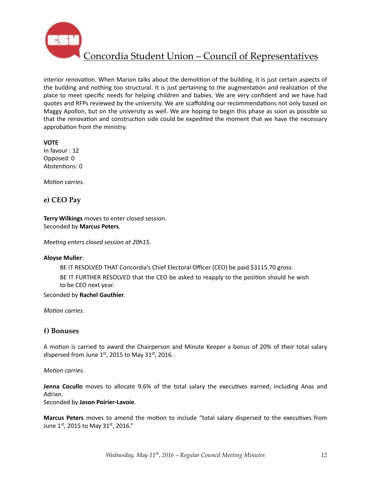

interior renovation. When Marion talks about the demolition of the building, it is just certain aspects of the building and nothing too structural. It is just pertaining to the augmentation and realization of the place to meet specific needs for helping children and babies. We are very confident and we have had quotes and RFPs reviewed by the university. We are scaffolding our recommendations not only based on Maggy Apollon, but on the university as well. We are hoping to begin this phase as soon as possible so that the renovation and construction side could be expedited the moment that we have the necessary approbation from the ministry.

#### **VOTE**

In favour : 12 Opposed: 0 Abstentions: 0

*Motion carries.* 

### **e) CEO Pay**

**Terry Wilkings** moves to enter closed session. Seconded by **Marcus Peters**. 

*Meeting enters closed session at 20h15.* 

#### **Aloyse Muller**:

BE IT RESOLVED THAT Concordia's Chief Electoral Officer (CEO) be paid \$3115.70 gross.

BE IT FURTHER RESOLVED that the CEO be asked to reapply to the position should he wish to be CEO next year.

#### Seconded by **Rachel Gauthier**.

*Motion carries.* 

### **f) Bonuses**

A motion is carried to award the Chairperson and Minute Keeper a bonus of 20% of their total salary dispersed from June  $1<sup>st</sup>$ , 2015 to May 31 $<sup>st</sup>$ , 2016.</sup>

#### *Motion carries.*

**Jenna Cocullo** moves to allocate 9.6% of the total salary the executives earned, including Anas and Adrian. 

Seconded by **Jason Poirier-Lavoie**. 

**Marcus Peters** moves to amend the motion to include "total salary dispersed to the executives from June  $1^{st}$ , 2015 to May 31st, 2016."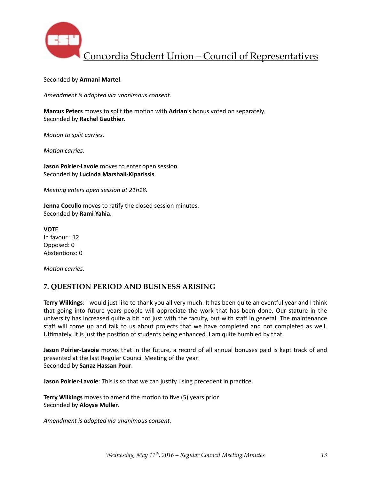

#### Seconded by Armani Martel.

*Amendment is adopted via unanimous consent.* 

**Marcus Peters** moves to split the motion with **Adrian**'s bonus voted on separately. Seconded by **Rachel Gauthier**. 

*Motion to split carries.* 

*Motion carries.* 

**Jason Poirier-Lavoie** moves to enter open session. Seconded by **Lucinda Marshall-Kiparissis**. 

*Meeting enters open session at 21h18.* 

**Jenna Cocullo** moves to ratify the closed session minutes. Seconded by **Rami Yahia**. 

**VOTE** In favour : 12 Opposed: 0 Abstentions: 0

*Motion carries.* 

## **7. QUESTION PERIOD AND BUSINESS ARISING**

**Terry Wilkings**: I would just like to thank you all very much. It has been quite an eventful year and I think that going into future years people will appreciate the work that has been done. Our stature in the university has increased quite a bit not just with the faculty, but with staff in general. The maintenance staff will come up and talk to us about projects that we have completed and not completed as well. Ultimately, it is just the position of students being enhanced. I am quite humbled by that.

**Jason Poirier-Lavoie** moves that in the future, a record of all annual bonuses paid is kept track of and presented at the last Regular Council Meeting of the year. Seconded by **Sanaz Hassan Pour**. 

**Jason Poirier-Lavoie**: This is so that we can justify using precedent in practice.

**Terry Wilkings** moves to amend the motion to five (5) years prior. Seconded by **Aloyse Muller**. 

Amendment is adopted via unanimous consent.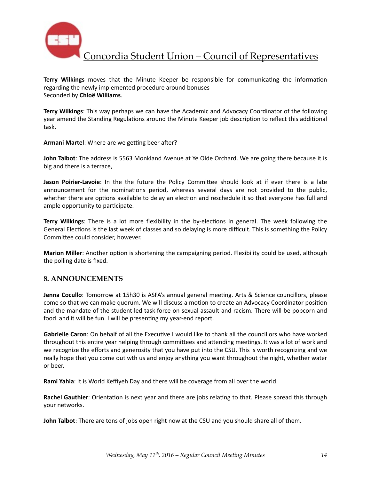

**Terry Wilkings** moves that the Minute Keeper be responsible for communicating the information regarding the newly implemented procedure around bonuses Seconded by **Chloë Williams**. 

**Terry Wilkings**: This way perhaps we can have the Academic and Advocacy Coordinator of the following year amend the Standing Regulations around the Minute Keeper job description to reflect this additional task. 

Armani Martel: Where are we getting beer after?

**John Talbot**: The address is 5563 Monkland Avenue at Ye Olde Orchard. We are going there because it is big and there is a terrace,

**Jason Poirier-Lavoie**: In the the future the Policy Committee should look at if ever there is a late announcement for the nominations period, whereas several days are not provided to the public, whether there are options available to delay an election and reschedule it so that everyone has full and ample opportunity to participate.

**Terry Wilkings**: There is a lot more flexibility in the by-elections in general. The week following the General Elections is the last week of classes and so delaying is more difficult. This is something the Policy Committee could consider, however.

**Marion Miller**: Another option is shortening the campaigning period. Flexibility could be used, although the polling date is fixed.

### **8. ANNOUNCEMENTS**

**Jenna Cocullo**: Tomorrow at 15h30 is ASFA's annual general meeting. Arts & Science councillors, please come so that we can make quorum. We will discuss a motion to create an Advocacy Coordinator position and the mandate of the student-led task-force on sexual assault and racism. There will be popcorn and food and it will be fun. I will be presenting my year-end report.

**Gabrielle Caron**: On behalf of all the Executive I would like to thank all the councillors who have worked throughout this entire year helping through committees and attending meetings. It was a lot of work and we recognize the efforts and generosity that you have put into the CSU. This is worth recognizing and we really hope that you come out wth us and enjoy anything you want throughout the night, whether water or beer. 

**Rami Yahia**: It is World Keffiyeh Day and there will be coverage from all over the world.

**Rachel Gauthier**: Orientation is next year and there are jobs relating to that. Please spread this through your networks.

**John Talbot**: There are tons of jobs open right now at the CSU and you should share all of them.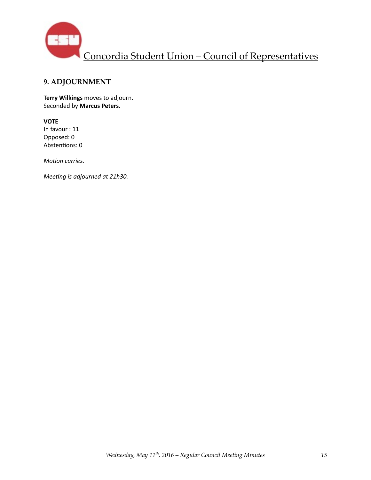

# **9. ADJOURNMENT**

**Terry Wilkings** moves to adjourn. Seconded by **Marcus Peters**.

### **VOTE**

In favour : 11 Opposed: 0 Abstentions: 0

*Motion carries.* 

*Meeting is adjourned at 21h30.*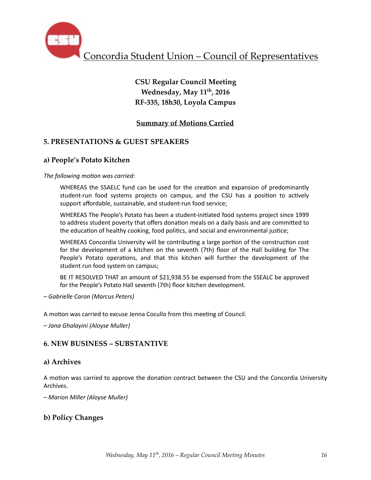

# **CSU Regular Council Meeting Wednesday, May 11th, 2016 RF-335, 18h30, Loyola Campus**

# **Summary of Motions Carried**

# **5. PRESENTATIONS & GUEST SPEAKERS**

## **a) People's Potato Kitchen**

### The following motion was carried:

WHEREAS the SSAELC fund can be used for the creation and expansion of predominantly student-run food systems projects on campus, and the CSU has a position to actively support affordable, sustainable, and student-run food service;

WHEREAS The People's Potato has been a student-initiated food systems project since 1999 to address student poverty that offers donation meals on a daily basis and are committed to the education of healthy cooking, food politics, and social and environmental justice;

WHEREAS Concordia University will be contributing a large portion of the construction cost for the development of a kitchen on the seventh (7th) floor of the Hall building for The People's Potato operations, and that this kitchen will further the development of the student run food system on campus;

BE IT RESOLVED THAT an amount of \$21,938.55 be expensed from the SSEALC be approved for the People's Potato Hall seventh (7th) floor kitchen development.

*– Gabrielle Caron (Marcus Peters)* 

A motion was carried to excuse Jenna Cocullo from this meeting of Council.

*– Jana Ghalayini (Aloyse Muller)* 

## **6. NEW BUSINESS – SUBSTANTIVE**

### **a) Archives**

A motion was carried to approve the donation contract between the CSU and the Concordia University Archives. 

*– Marion Miller (Aloyse Muller)* 

## **b) Policy Changes**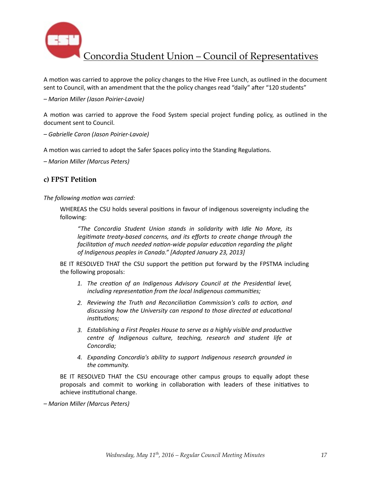

A motion was carried to approve the policy changes to the Hive Free Lunch, as outlined in the document sent to Council, with an amendment that the the policy changes read "daily" after "120 students"

*– Marion Miller (Jason Poirier-Lavoie)* 

A motion was carried to approve the Food System special project funding policy, as outlined in the document sent to Council.

*– Gabrielle Caron (Jason Poirier-Lavoie)* 

A motion was carried to adopt the Safer Spaces policy into the Standing Regulations.

*– Marion Miller (Marcus Peters)* 

### **c) FPST Petition**

The following motion was carried:

WHEREAS the CSU holds several positions in favour of indigenous sovereignty including the following: 

*"The Concordia Student Union stands in solidarity with Idle No More, its legitimate treaty-based concerns, and its efforts to create change through the* facilitation of much needed nation-wide popular education regarding the plight of Indigenous peoples in Canada." [Adopted January 23, 2013]

BE IT RESOLVED THAT the CSU support the petition put forward by the FPSTMA including the following proposals:

- 1. The creation of an Indigenous Advisory Council at the Presidential level, *including representation from the local Indigenous communities;*
- 2. Reviewing the Truth and Reconciliation Commission's calls to action, and discussing how the University can respond to those directed at educational  $institutions:$
- 3. Establishing a First Peoples House to serve as a highly visible and productive *centre* of *Indigenous culture, teaching, research and student life at Concordia;*
- 4. *Expanding Concordia's ability to support Indigenous research grounded in* the community.

BE IT RESOLVED THAT the CSU encourage other campus groups to equally adopt these proposals and commit to working in collaboration with leaders of these initiatives to achieve institutional change.

*– Marion Miller (Marcus Peters)*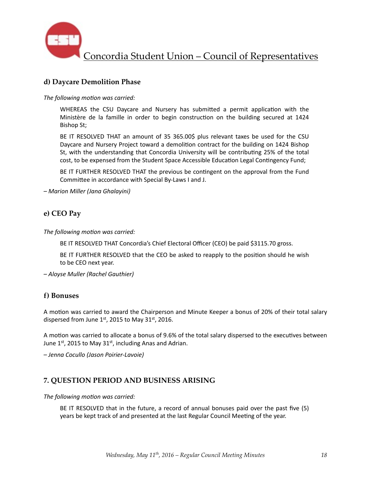

# **d) Daycare Demolition Phase**

The following motion was carried:

WHEREAS the CSU Daycare and Nursery has submitted a permit application with the Ministère de la famille in order to begin construction on the building secured at 1424 Bishop St;

BE IT RESOLVED THAT an amount of 35 365.00\$ plus relevant taxes be used for the CSU Daycare and Nursery Project toward a demolition contract for the building on 1424 Bishop St, with the understanding that Concordia University will be contributing 25% of the total cost, to be expensed from the Student Space Accessible Education Legal Contingency Fund;

BE IT FURTHER RESOLVED THAT the previous be contingent on the approval from the Fund Committee in accordance with Special By-Laws I and J.

*– Marion Miller (Jana Ghalayini)* 

## **e) CEO Pay**

The following motion was carried:

BE IT RESOLVED THAT Concordia's Chief Electoral Officer (CEO) be paid \$3115.70 gross.

BE IT FURTHER RESOLVED that the CEO be asked to reapply to the position should he wish to be CEO next year.

*– Aloyse Muller (Rachel Gauthier)* 

## **f) Bonuses**

A motion was carried to award the Chairperson and Minute Keeper a bonus of 20% of their total salary dispersed from June  $1<sup>st</sup>$ , 2015 to May 31 $<sup>st</sup>$ , 2016.</sup>

A motion was carried to allocate a bonus of 9.6% of the total salary dispersed to the executives between June  $1^{st}$ , 2015 to May 31st, including Anas and Adrian.

*– Jenna Cocullo (Jason Poirier-Lavoie)* 

## **7. QUESTION PERIOD AND BUSINESS ARISING**

The following motion was carried:

BE IT RESOLVED that in the future, a record of annual bonuses paid over the past five (5) years be kept track of and presented at the last Regular Council Meeting of the year.